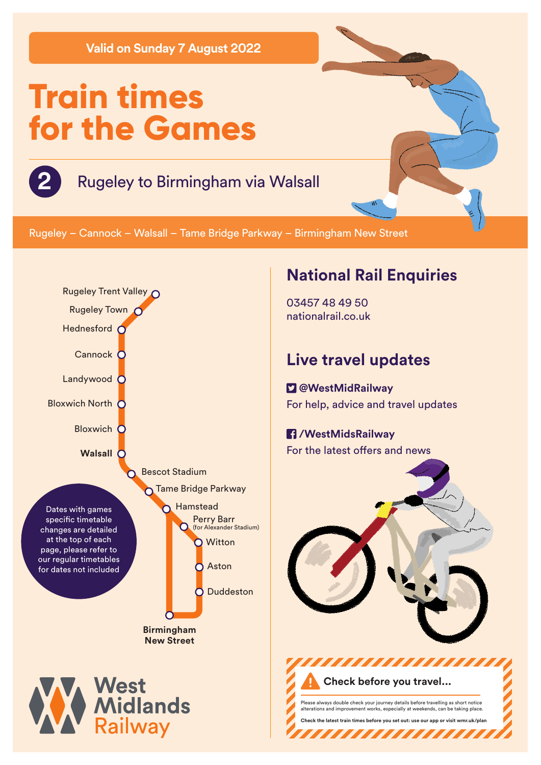**Valid on Sunday 7 August 2022**

# **Train times for the Games**

## **2** Rugeley to Birmingham via Walsall

Rugeley – Cannock – Walsall – Tame Bridge Parkway – Birmingham New Street



### **National Rail Enquiries**

03457 48 49 50 nationalrail.co.uk

## **Live travel updates**

 **@WestMidRailway** For help, advice and travel updates

#### **/WestMidsRailway** For the latest offers and news



Please always double check your journey details before travelling as short notice alterations and improvement works, especially at weekends, can be taking place. **Check the latest train times before you set out: use our app or visit wmr.uk/plan** 

,,,,,,,,,,,,,